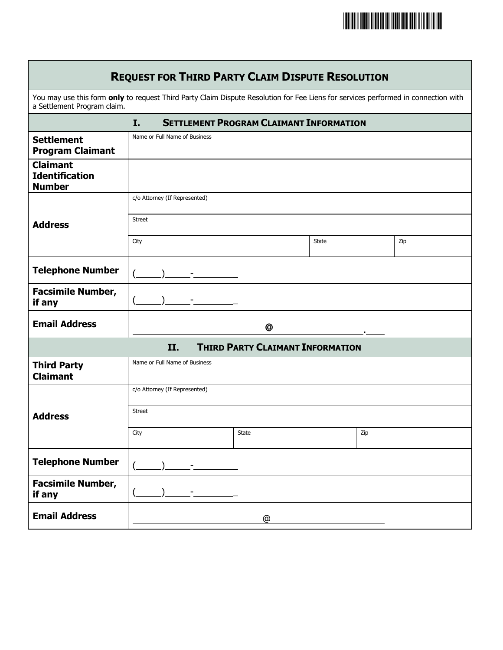

| <b>REQUEST FOR THIRD PARTY CLAIM DISPUTE RESOLUTION</b>                                                                                                           |                               |       |              |     |     |  |
|-------------------------------------------------------------------------------------------------------------------------------------------------------------------|-------------------------------|-------|--------------|-----|-----|--|
| You may use this form only to request Third Party Claim Dispute Resolution for Fee Liens for services performed in connection with<br>a Settlement Program claim. |                               |       |              |     |     |  |
| <b>SETTLEMENT PROGRAM CLAIMANT INFORMATION</b><br>I.                                                                                                              |                               |       |              |     |     |  |
| <b>Settlement</b><br><b>Program Claimant</b>                                                                                                                      | Name or Full Name of Business |       |              |     |     |  |
| <b>Claimant</b><br><b>Identification</b><br><b>Number</b>                                                                                                         |                               |       |              |     |     |  |
|                                                                                                                                                                   | c/o Attorney (If Represented) |       |              |     |     |  |
| <b>Address</b>                                                                                                                                                    | <b>Street</b>                 |       |              |     |     |  |
|                                                                                                                                                                   | City                          |       | <b>State</b> |     | Zip |  |
| <b>Telephone Number</b>                                                                                                                                           |                               |       |              |     |     |  |
| <b>Facsimile Number,</b><br>if any                                                                                                                                |                               |       |              |     |     |  |
| <b>Email Address</b>                                                                                                                                              | @                             |       |              |     |     |  |
| <b>THIRD PARTY CLAIMANT INFORMATION</b><br>II.                                                                                                                    |                               |       |              |     |     |  |
| <b>Third Party</b><br><b>Claimant</b>                                                                                                                             | Name or Full Name of Business |       |              |     |     |  |
|                                                                                                                                                                   | c/o Attorney (If Represented) |       |              |     |     |  |
| <b>Address</b>                                                                                                                                                    | <b>Street</b>                 |       |              |     |     |  |
|                                                                                                                                                                   | City                          | State |              | Zip |     |  |
| <b>Telephone Number</b>                                                                                                                                           |                               |       |              |     |     |  |
| <b>Facsimile Number,</b><br>if any                                                                                                                                |                               |       |              |     |     |  |
| <b>Email Address</b>                                                                                                                                              | @                             |       |              |     |     |  |